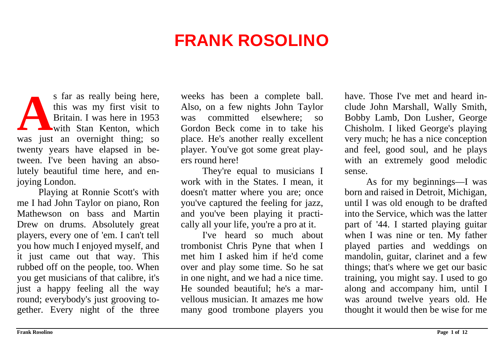## **FRANK ROSOLINO**

s far as really being here, this was my first visit to Britain. I was here in 1953with Stan Kenton, which was just an overnight thing; so twenty years have elapsed in between. I've been having an absolutely beautiful time here, and enjoying London. **A**

Playing at Ronnie Scott's with me I had John Taylor on piano, Ron Mathewson on bass and MartinDrew on drums. Absolutely great players, every one of 'em. I can't tell you how much I enjoyed myself, and it just came out that way. This rubbed off on the people, too. When you get musicians of that calibre, it's just a happy feeling all the way round; everybody's just grooving together. Every night of the three

weeks has been a complete ball. Also, on a few nights John Taylor was committed elsewhere; so Gordon Beck come in to take hisplace. He's another really excellent player. You've got some great players round here!

They're equal to musicians I work with in the States. I mean, it doesn't matter where you are; once you've captured the feeling for jazz, and you've been playing it practically all your life, you're a pro at it.

I've heard so much abouttrombonist Chris Pyne that when I met him I asked him if he'd comeover and play some time. So he sat in one night, and we had a nice time. He sounded beautiful; he's a marvellous musician. It amazes me howmany good trombone players you have. Those I've met and heard include John Marshall, Wally Smith, Bobby Lamb, Don Lusher, George Chisholm. I liked George's playing very much; he has a nice conception and feel, good soul, and he plays with an extremely good melodic sense.

As for my beginnings—I was born and raised in Detroit, Michigan, until I was old enough to be drafted into the Service, which was the latter part of '44. I started playing guitar when I was nine or ten. My father played parties and weddings on mandolin, guitar, clarinet and a few things; that's where we get our basic training, you might say. I used to go along and accompany him, until I was around twelve years old. He thought it would then be wise for me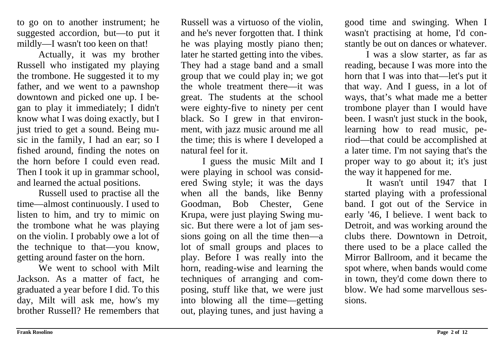to go on to another instrument; he suggested accordion, but—to put it mildly—I wasn't too keen on that!

Actually, it was my brother Russell who instigated my playing the trombone. He suggested it to my father, and we went to a pawnshop downtown and picked one up. I began to play it immediately; I didn't know what I was doing exactly, but I just tried to get a sound. Being music in the family, I had an ear; so I fished around, finding the notes on the horn before I could even read.Then I took it up in grammar school, and learned the actual positions.

Russell used to practise all the time—almost continuously. I used to listen to him, and try to mimic on the trombone what he was playing on the violin. I probably owe a lot of the technique to that—you know, getting around faster on the horn.

We went to school with MiltJackson. As a matter of fact, he graduated a year before I did. To this day, Milt will ask me, how's my brother RusseIl? He remembers that Russell was a virtuoso of the violin, and he's never forgotten that. I think he was playing mostly piano then; later he started getting into the vibes. They had a stage band and a small group that we could play in; we got the whole treatment there—it wasgreat. The students at the school were eighty-five to ninety per cent black. So I grew in that environment, with jazz music around me all the time; this is where I developed a natural feel for it.

I guess the music Milt and I were playing in school was considered Swing style; it was the days when all the bands, like Benny Goodman, Bob Chester, Gene Krupa, were just playing Swing music. But there were a lot of jam sessions going on all the time then—a lot of small groups and places to play. Before I was really into the horn, reading-wise and learning the techniques of arranging and composing, stuff like that, we were just into blowing all the time—getting out, playing tunes, and just having a good time and swinging. When I wasn't practising at home, I'd constantly be out on dances or whatever.

I was a slow starter, as far as reading, because I was more into the horn that I was into that—let's put it that way. And I guess, in a lot of ways, that's what made me a better trombone player than I would have been. I wasn't just stuck in the book, learning how to read music, period—that could be accomplished at a later time. I'm not saying that's the proper way to go about it; it's just the way it happened for me.

It wasn't until 1947 that I started playing with a professional band. I got out of the Service in early '46, I believe. I went back to Detroit, and was working around the clubs there. Downtown in Detroit, there used to be a place called the Mirror Ballroom, and it became the spot where, when bands would come in town, they'd come down there to blow. We had some marvellous sessions.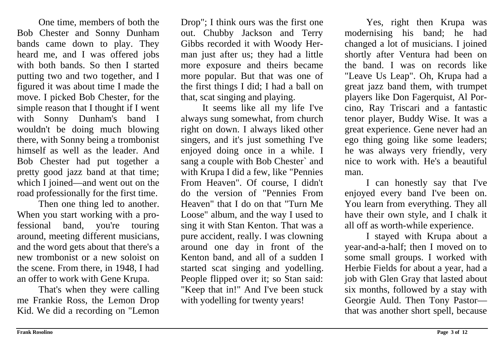One time, members of both the Bob Chester and Sonny Dunham bands came down to play. They heard me, and I was offered jobs with both bands. So then I started putting two and two together, and I figured it was about time I made the move. I picked Bob Chester, for the simple reason that I thought if I went with Sonny Dunham's band I wouldn't be doing much blowing there, with Sonny being a trombonist himself as well as the leader. AndBob Chester had put together a pretty good jazz band at that time; which I joined—and went out on the road professionally for the first time.

Then one thing led to another. When you start working with a professional band, you're touring around, meeting different musicians, and the word gets about that there's a new trombonist or a new soloist onthe scene. From there, in 1948, I had an offer to work with Gene Krupa.

That's when they were calling me Frankie Ross, the Lemon Drop Kid. We did a recording on "Lemon

Drop"; I think ours was the first one out. Chubby Jackson and Terry Gibbs recorded it with Woody Herman just after us; they had a little more exposure and theirs became more popular. But that was one of the first things I did; I had a ball on that, scat singing and playing.

It seems like all my life I've always sung somewhat, from church right on down. I always liked other singers, and it's just something I've enjoyed doing once in a while. I sang a couple with Bob Chester` and with Krupa I did a few, like "Pennies From Heaven". Of course, I didn't do the version of "Pennies FromHeaven" that I do on that "Turn MeLoose" album, and the way I used to sing it with Stan Kenton. That was a pure accident, really. I was clowning around one day in front of the Kenton band, and all of a sudden I started scat singing and yodelling. People flipped over it; so Stan said: "Keep that in!" And I've been stuck with yodelling for twenty years!

Yes, right then Krupa was modernising his band; he had changed a lot of musicians. I joined shortly after Ventura had been on the band. I was on records like"Leave Us Leap". Oh, Krupa had a great jazz band them, with trumpet players like Don Fagerquist, Al Porcino, Ray Triscari and a fantastic tenor player, Buddy Wise. It was a great experience. Gene never had an ego thing going like some leaders; he was always very friendly, very nice to work with. He's a beautifulman.

I can honestly say that I've enjoyed every band I've been on. You learn from everything. They all have their own style, and I chalk it all off as worth-while experience.

I stayed with Krupa about a year-and-a-half; then I moved on to some small groups. I worked with Herbie Fields for about a year, had a job with Glen Gray that lasted about six months, followed by a stay with Georgie Auld. Then Tony Pastor that was another short spell, because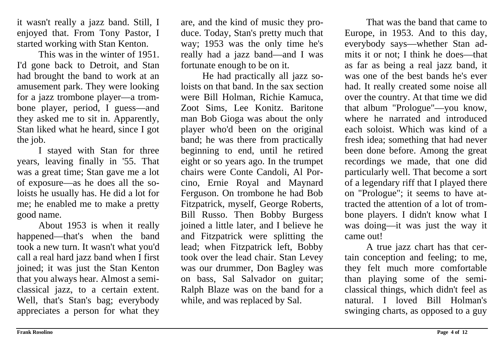it wasn't really a jazz band. Still, I enjoyed that. From Tony Pastor, I started working with Stan Kenton.

This was in the winter of 1951. I'd gone back to Detroit, and Stan had brought the band to work at an amusement park. They were looking for a jazz trombone player—a trombone player, period, I guess—and they asked me to sit in. Apparently, Stan liked what he heard, since I got the job.

I stayed with Stan for three years, leaving finally in '55. That was a great time; Stan gave me a lot of exposure—as he does all the soloists he usually has. He did a lot for me; he enabled me to make a pretty good name.

About 1953 is when it really happened—that's when the band took a new turn. It wasn't what you'd call a real hard jazz band when I first joined; it was just the Stan Kenton that you always hear. Almost a semiclassical jazz, to a certain extent. Well, that's Stan's bag; everybody appreciates a person for what they

are, and the kind of music they produce. Today, Stan's pretty much that way; 1953 was the only time he's really had a jazz band—and I was fortunate enough to be on it.

He had practically all jazz soloists on that band. In the sax sectionwere Bill Holman, Richie Kamuca, Zoot Sims, Lee Konitz. Baritone man Bob Gioga was about the only player who'd been on the original band; he was there from practically beginning to end, until he retired eight or so years ago. In the trumpet chairs were Conte Candoli, Al Porcino, Ernie Royal and Maynard Ferguson. On trombone he had Bob Fitzpatrick, myself, George Roberts, Bill Russo. Then Bobby Burgess joined a little later, and I believe he and Fitzpatrick were splitting the lead; when Fitzpatrick left, Bobby took over the lead chair. Stan Levey was our drummer, Don Bagley was on bass, Sal Salvador on guitar; Ralph Blaze was on the band for a while, and was replaced by Sal.

That was the band that came toEurope, in 1953. And to this day, everybody says—whether Stan admits it or not; I think he does—that as far as being a real jazz band, it was one of the best bands he's everhad. It really created some noise all over the country. At that time we did that album "Prologue"—you know, where he narrated and introducedeach soloist. Which was kind of afresh idea; something that had never been done before. Among the great recordings we made, that one did particularly well. That become a sort of a legendary riff that I played there on "Prologue"; it seems to have attracted the attention of a lot of trombone players. I didn't know what I was doing—it was just the way it came out!

A true jazz chart has that certain conception and feeling; to me, they felt much more comfortable than playing some of the semiclassical things, which didn't feel as natural. I loved Bill Holman'sswinging charts, as opposed to a guy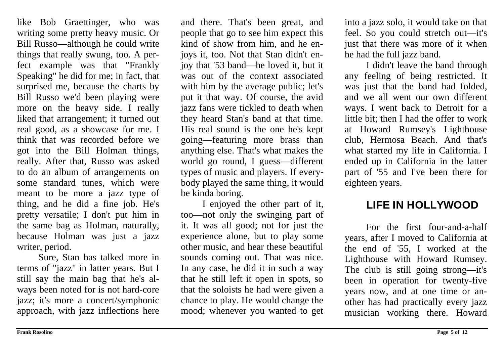like Bob Graettinger, who was writing some pretty heavy music. Or Bill Russo—although he could write things that really swung, too. A perfect example was that "Frankly Speaking" he did for me; in fact, that surprised me, because the charts by Bill Russo we'd been playing were more on the heavy side. I really liked that arrangement; it turned out real good, as a showcase for me. I think that was recorded before wegot into the Bill Holman things, really. After that, Russo was asked to do an album of arrangements on some standard tunes, which were meant to be more a jazz type of thing, and he did a fine job. He's pretty versatile; I don't put him in the same bag as Holman, naturally, because Holman was just a jazz writer, period.

Sure, Stan has talked more in terms of "jazz" in latter years. But I still say the main bag that he's always been noted for is not hard-core jazz; it's more a concert/symphonic approach, with jazz inflections here

and there. That's been great, and people that go to see him expect this kind of show from him, and he enjoys it, too. Not that Stan didn't enjoy that '53 band—he loved it, but it was out of the context associatedwith him by the average public; let's put it that way. Of course, the avid jazz fans were tickled to death when they heard Stan's band at that time. His real sound is the one he's kept going—featuring more brass than anything else. That's what makes the world go round, I guess—different types of music and players. If everybody played the same thing, it would be kinda boring.

I enjoyed the other part of it, too—not only the swinging part of it. It was all good; not for just the experience alone, but to play some other music, and hear these beautiful sounds coming out. That was nice. In any case, he did it in such a way that he still left it open in spots, so that the soloists he had were given a chance to play. He would change the mood; whenever you wanted to get into a jazz solo, it would take on that feel. So you could stretch out—it's just that there was more of it when he had the full jazz band.

I didn't leave the band through any feeling of being restricted. It was just that the band had folded, and we all went our own differentways. I went back to Detroit for a little bit; then I had the offer to work at Howard Rumsey's Lighthouse club, Hermosa Beach. And that's what started my life in California. I ended up in California in the latter part of '55 and I've been there for eighteen years.

## **LIFE IN HOLLYWOOD**

For the first four-and-a-halfyears, after I moved to California at the end of '55, I worked at the Lighthouse with Howard Rumsey. The club is still going strong—it's been in operation for twenty-five years now, and at one time or another has had practically every jazz musician working there. Howard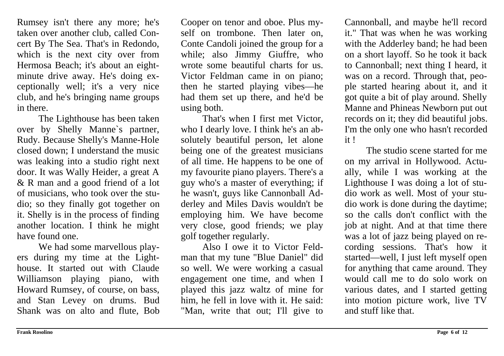Rumsey isn't there any more; he's taken over another club, called Concert By The Sea. That's in Redondo, which is the next city over from Hermosa Beach; it's about an eightminute drive away. He's doing exceptionally well; it's a very nice club, and he's bringing name groups in there.

The Lighthouse has been taken over by Shelly Manne`s partner, Rudy. Because Shelly's Manne-Hole closed down; I understand the music was leaking into a studio right next door. It was Wally Heider, a great A & R man and a good friend of a lot of musicians, who took over the studio; so they finally got together on it. Shelly is in the process of finding another location. I think he might have found one.

We had some marvellous players during my time at the Lighthouse. It started out with Claude Williamson playing piano, with Howard Rumsey, of course, on bass, and Stan Levey on drums. Bud Shank was on alto and flute, Bob

Cooper on tenor and oboe. Plus myself on trombone. Then later on, Conte Candoli joined the group for a while; also Jimmy Giuffre, who wrote some beautiful charts for us.Victor Feldman came in on piano; then he started playing vibes—he had them set up there, and he'd be using both.

That's when I first met Victor, who I dearly love. I think he's an absolutely beautiful person, let alone being one of the greatest musicians of all time. He happens to be one of my favourite piano players. There's a guy who's a master of everything; if he wasn't, guys like Cannonball Adderley and Miles Davis wouldn't be employing him. We have become very close, good friends; we play golf together regularly.

Also I owe it to Victor Feldman that my tune "Blue Daniel" did so well. We were working a casual engagement one time, and when I played this jazz waltz of mine for him, he fell in love with it. He said: "Man, write that out; I'll give to

Cannonball, and maybe he'll record it." That was when he was working with the Adderley band; he had been on a short layoff. So he took it back to Cannonball; next thing I heard, it was on a record. Through that, people started hearing about it, and it got quite a bit of play around. Shelly Manne and Phineas Newborn put out records on it; they did beautiful jobs. I'm the only one who hasn't recorded it !

The studio scene started for meon my arrival in Hollywood. Actually, while I was working at the Lighthouse I was doing a lot of studio work as well. Most of your studio work is done during the daytime; so the calls don't conflict with thejob at night. And at that time there was a lot of jazz being played on recording sessions. That's how it started—well, I just left myself open for anything that came around. They would call me to do solo work onvarious dates, and I started getting into motion picture work, live TV and stuff like that.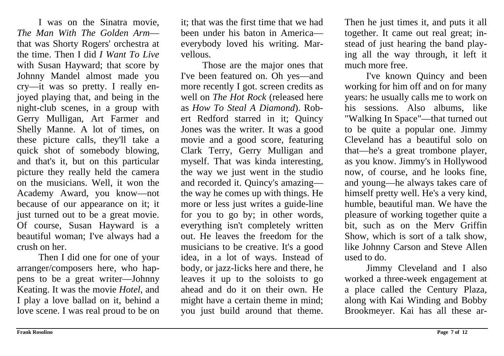I was on the Sinatra movie, *The Man With The Golden Arm*that was Shorty Rogers' orchestra at the time. Then I did *I Want To Live*with Susan Hayward; that score by Johnny Mandel almost made you cry—it was so pretty. I really enjoyed playing that, and being in the night-club scenes, in a group with Gerry Mulligan, Art Farmer and Shelly Manne. A lot of times, on these picture calls, they'll take a quick shot of somebody blowing, and that's it, but on this particular picture they really held the camera on the musicians. Well, it won the Academy Award, you know—not because of our appearance on it; it just turned out to be a great movie. Of course, Susan Hayward is a beautiful woman; I've always had a crush on her.

Then I did one for one of your arranger/composers here, who happens to be a great writer—Johnny Keating. It was the movie *Hotel*, and I play a love ballad on it, behind a love scene. I was real proud to be on it; that was the first time that we had been under his baton in Americaeverybody loved his writing. Marvellous.

Those are the major ones that I've been featured on. Oh yes—and more recently I got. screen credits as well on *The Hot Rock* (released here as *How To Steal A Diamond*). Robert Redford starred in it; Quincy Jones was the writer. It was a good movie and a good score, featuring Clark Terry, Gerry Mulligan and myself. That was kinda interesting, the way we just went in the studio and recorded it. Quincy's amazing the way he comes up with things. He more or less just writes a guide-line for you to go by; in other words, everything isn't completely written out. He leaves the freedom for themusicians to be creative. It's a good idea, in a lot of ways. Instead of body, or jazz-licks here and there, he leaves it up to the soloists to go ahead and do it on their own. Hemight have a certain theme in mind; you just build around that theme.

Then he just times it, and puts it all together. It came out real great; instead of just hearing the band playing all the way through, it left it much more free.

I've known Quincy and been working for him off and on for many years: he usually calls me to work on his sessions. Also albums, like "Walking In Space"—that turned out to be quite a popular one. Jimmy Cleveland has a beautiful solo onthat—he's a great trombone player, as you know. Jimmy's in Hollywood now, of course, and he looks fine, and young—he always takes care of himself pretty well. He's a very kind, humble, beautiful man. We have the pleasure of working together quite a bit, such as on the Merv Griffin Show, which is sort of a talk show, like Johnny Carson and Steve Allen used to do.

Jimmy Cleveland and I also worked a three-week engagement at a place called the Century Plaza, along with Kai Winding and Bobby Brookmeyer. Kai has all these ar-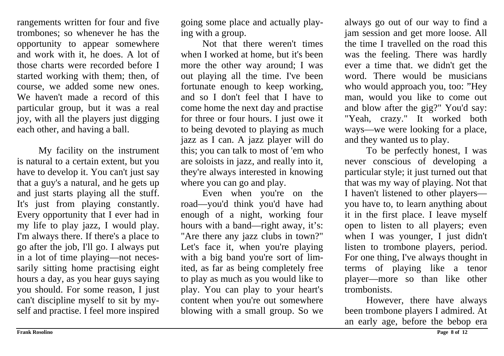rangements written for four and five trombones; so whenever he has the opportunity to appear somewhere and work with it, he does. A lot of those charts were recorded before Istarted working with them; then, of course, we added some new ones. We haven't made a record of thisparticular group, but it was a real joy, with all the players just digging each other, and having a ball.

My facility on the instrument is natural to a certain extent, but you have to develop it. You can't just say that a guy's a natural, and he gets up and just starts playing all the stuff. It's just from playing constantly. Every opportunity that I ever had in my life to play jazz, I would play. I'm always there. If there's a place to go after the job, I'll go. I always put in a lot of time playing—not necessarily sitting home practising eight hours a day, as you hear guys saying you should. For some reason, I just can't discipline myself to sit by myself and practise. I feel more inspired

going some place and actually playing with a group.

Not that there weren't timeswhen I worked at home, but it's been more the other way around; I was out playing all the time. I've been fortunate enough to keep working, and so I don't feel that I have tocome home the next day and practise for three or four hours. I just owe it to being devoted to playing as much jazz as I can. A jazz player will do this; you can talk to most of 'em who are soloists in jazz, and really into it, they're always interested in knowing where you can go and play.

Even when you're on the road—you'd think you'd have had enough of a night, working four hours with a band—right away, it's: "Are there any jazz clubs in town?" Let's face it, when you're playing with a big band you're sort of limited, as far as being completely free to play as much as you would like to play. You can play to your heart's content when you're out somewhere blowing with a small group. So we always go out of our way to find a jam session and get more loose. All the time I travelled on the road thiswas the feeling. There was hardly ever a time that. we didn't get the word. There would be musicianswho would approach you, too: "Hey man, would you like to come out and blow after the gig?" You'd say: "Yeah, crazy." It worked both ways—we were looking for a place, and they wanted us to play.

To be perfectly honest, I was never conscious of developing a particular style; it just turned out that that was my way of playing. Not that I haven't listened to other players you have to, to learn anything about it in the first place. I leave myself open to listen to all players; even when I was younger, I just didn't listen to trombone players, period. For one thing, I've always thought in terms of playing like a tenor player—more so than like other trombonists.

However, there have always been trombone players I admired. At an early age, before the bebop era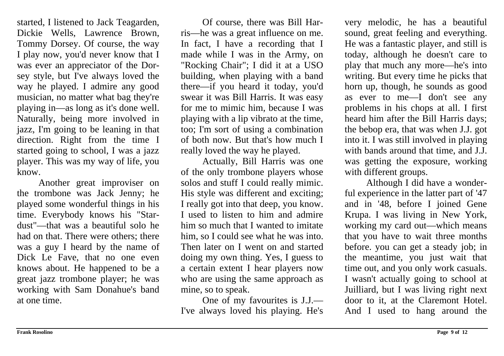started, I listened to Jack Teagarden, Dickie Wells, Lawrence Brown, Tommy Dorsey. Of course, the way I play now, you'd never know that I was ever an appreciator of the Dorsey style, but I've always loved the way he played. I admire any good musician, no matter what bag they're playing in—as long as it's done well. Naturally, being more involved in jazz, I'm going to be leaning in that direction. Right from the time I started going to school, I was a jazz player. This was my way of life, you know.

Another great improviser on the trombone was Jack Jenny; he played some wonderful things in his time. Everybody knows his "Stardust"—that was a beautiful solo hehad on that. There were others; there was a guy I heard by the name of Dick Le Fave, that no one even knows about. He happened to be a great jazz trombone player; he was working with Sam Donahue's band at one time.

Of course, there was Bill Harris—he was a great influence on me. In fact, I have a recording that I made while I was in the Army, on "Rocking Chair"; I did it at a USO building, when playing with a band there—if you heard it today, you'd swear it was Bill Harris. It was easy for me to mimic him, because I was playing with a lip vibrato at the time, too; I'm sort of using a combination of both now. But that's how much Ireally loved the way he played.

Actually, Bill Harris was one of the only trombone players whose solos and stuff I could really mimic. His style was different and exciting; I really got into that deep, you know. I used to listen to him and admirehim so much that I wanted to imitatehim, so I could see what he was into. Then later on I went on and starteddoing my own thing. Yes, I guess to a certain extent I hear players now who are using the same approach as mine, so to speak.

One of my favourites is J.J.— I've always loved his playing. He's very melodic, he has a beautiful sound, great feeling and everything. He was a fantastic player, and still is today, although he doesn't care to play that much any more—he's into writing. But every time he picks that horn up, though, he sounds as good as ever to me—I don't see any problems in his chops at all. I first heard him after the Bill Harris days; the bebop era, that was when J.J. got into it. I was still involved in playing with bands around that time, and J.J. was getting the exposure, working with different groups.

Although I did have a wonderful experience in the latter part of '47 and in '48, before I joined Gene Krupa. I was living in New York, working my card out—which means that you have to wait three months before. you can get a steady job; in the meantime, you just wait that time out, and you only work casuals. I wasn't actually going to school at Juilliard, but I was living right next door to it, at the Claremont Hotel. And I used to hang around the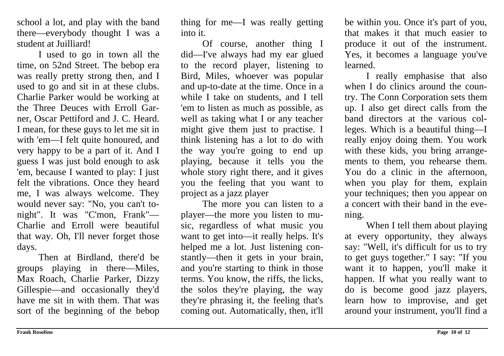school a lot, and play with the band there—everybody thought I was a student at Juilliard!

I used to go in town all the time, on 52nd Street. The bebop era was really pretty strong then, and I used to go and sit in at these clubs. Charlie Parker would be working at the Three Deuces with Erroll Garner, Oscar Pettiford and J. C. Heard. I mean, for these guys to let me sit in with 'em—I felt quite honoured, and very happy to be a part of it. And I guess I was just bold enough to ask 'em, because I wanted to play: I just felt the vibrations. Once they heard me, I was always welcome. They would never say: "No, you can't tonight". It was "C'mon, Frank"— Charlie and Erroll were beautifulthat way. Oh, I'll never forget those days.

Then at Birdland, there'd be groups playing in there—Miles, Max Roach, Charlie Parker, Dizzy Gillespie—and occasionally they'd have me sit in with them. That wassort of the beginning of the bebop

thing for me—I was really getting into it.

Of course, another thing I did—I've always had my ear glued to the record player, listening to Bird, Miles, whoever was popular and up-to-date at the time. Once in a while I take on students, and I tell 'em to listen as much as possible, as well as taking what I or any teacher might give them just to practise. I think listening has a lot to do with the way you're going to end up playing, because it tells you the whole story right there, and it gives you the feeling that you want to project as a jazz player

The more you can listen to a player—the more you listen to music, regardless of what music you want to get into—it really helps. It's helped me a lot. Just listening constantly—then it gets in your brain, and you're starting to think in those terms. You know, the riffs, the licks, the solos they're playing, the way they're phrasing it, the feeling that's coming out. Automatically, then, it'll

be within you. Once it's part of you, that makes it that much easier toproduce it out of the instrument. Yes, it becomes a language you've learned.

I really emphasise that also when I do clinics around the country. The Conn Corporation sets them up. I also get direct calls from the band directors at the various colleges. Which is a beautiful thing—I really enjoy doing them. You work with these kids, you bring arrangements to them, you rehearse them. You do a clinic in the afternoon, when you play for them, explain your techniques; then you appear on a concert with their band in the evening.

When I tell them about playing at every opportunity, they always say: "Well, it's difficult for us to try to get guys together." I say: "If you want it to happen, you'll make it happen. If what you really want to do is become good jazz players, learn how to improvise, and get around your instrument, you'll find a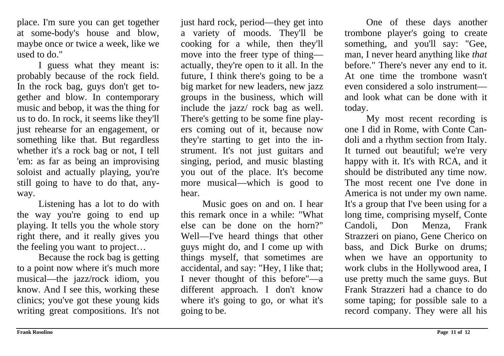place. I'm sure you can get together at some-body's house and blow, maybe once or twice a week, like we used to do."

I guess what they meant is: probably because of the rock field. In the rock bag, guys don't get together and blow. In contemporary music and bebop, it was the thing for us to do. In rock, it seems like they'll just rehearse for an engagement, or something like that. But regardless whether it's a rock bag or not, I tell 'em: as far as being an improvising soloist and actually playing, you're still going to have to do that, anyway.

Listening has a lot to do with the way you're going to end up playing. It tells you the whole story right there, and it really gives you the feeling you want to project…

Because the rock bag is getting to a point now where it's much more musical—the jazz/rock idiom, you know. And I see this, working these clinics; you've got these young kids writing great compositions. It's not just hard rock, period—they get into a variety of moods. They'll be cooking for a while, then they'll move into the freer type of thing actually, they're open to it all. In the future, I think there's going to be a big market for new leaders, new jazz groups in the business, which will include the jazz/ rock bag as well. There's getting to be some fine players coming out of it, because now they're starting to get into the instrument. It's not just guitars and singing, period, and music blasting you out of the place. It's become more musical—which is good to hear.

Music goes on and on. I hear this remark once in a while: "Whatelse can be done on the horn?"Well—I've heard things that other guys might do, and I come up with things myself, that sometimes are accidental, and say: "Hey, I like that; I never thought of this before"—a different approach. I don't know where it's going to go, or what it's going to be.

One of these days another trombone player's going to create something, and you'll say: "Gee, man, I never heard anything like *that* before." There's never any end to it. At one time the trombone wasn'teven considered a solo instrumentand look what can be done with ittoday.

My most recent recording is one I did in Rome, with Conte Candoli and a rhythm section from Italy. It turned out beautiful; we're very happy with it. It's with RCA, and it should be distributed any time now. The most recent one I've done inAmerica is not under my own name. It's a group that I've been using for a long time, comprising myself, Conte Candoli, Don Menza, Frank Strazzeri on piano, Gene Cherico on bass, and Dick Burke on drums; when we have an opportunity to work clubs in the Hollywood area, I use pretty much the same guys. But Frank Strazzeri had a chance to dosome taping; for possible sale to a record company. They were all his